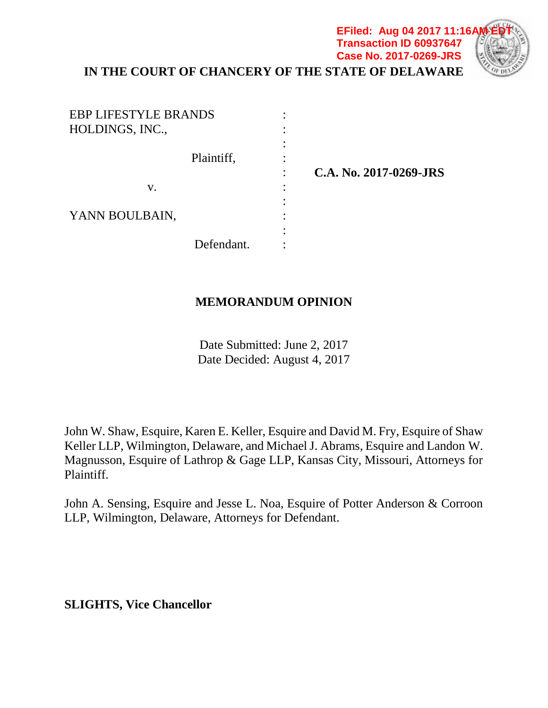# **IN THE COURT OF CHANCERY OF THE STATE OF DELAWARE**

**EFiled: Aug 04 2017 11:16/ Transaction ID 60937647 Case No. 2017-0269-JRS**

| <b>EBP LIFESTYLE BRANDS</b><br>HOLDINGS, INC., |   |                        |
|------------------------------------------------|---|------------------------|
| Plaintiff,                                     |   | C.A. No. 2017-0269-JRS |
| V.                                             | ٠ |                        |
| YANN BOULBAIN,                                 |   |                        |
| Defendant.                                     |   |                        |

## **MEMORANDUM OPINION**

Date Submitted: June 2, 2017 Date Decided: August 4, 2017

John W. Shaw, Esquire, Karen E. Keller, Esquire and David M. Fry, Esquire of Shaw Keller LLP, Wilmington, Delaware, and Michael J. Abrams, Esquire and Landon W. Magnusson, Esquire of Lathrop & Gage LLP, Kansas City, Missouri, Attorneys for Plaintiff.

John A. Sensing, Esquire and Jesse L. Noa, Esquire of Potter Anderson & Corroon LLP, Wilmington, Delaware, Attorneys for Defendant.

**SLIGHTS, Vice Chancellor**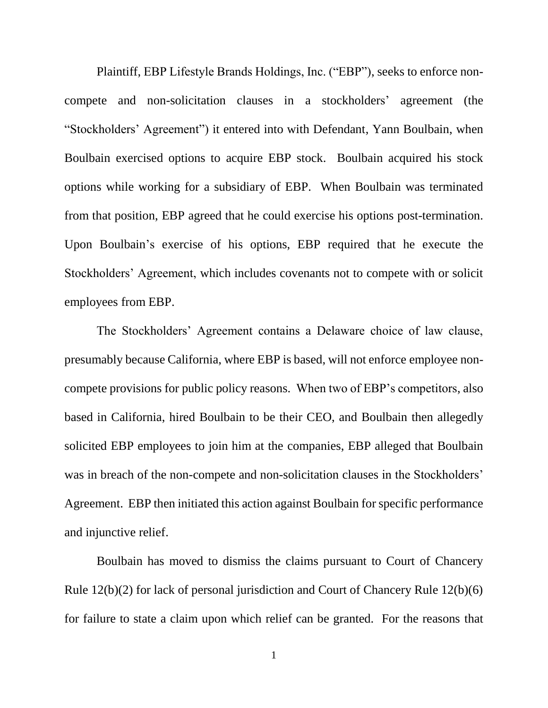Plaintiff, EBP Lifestyle Brands Holdings, Inc. ("EBP"), seeks to enforce noncompete and non-solicitation clauses in a stockholders' agreement (the "Stockholders' Agreement") it entered into with Defendant, Yann Boulbain, when Boulbain exercised options to acquire EBP stock. Boulbain acquired his stock options while working for a subsidiary of EBP. When Boulbain was terminated from that position, EBP agreed that he could exercise his options post-termination. Upon Boulbain's exercise of his options, EBP required that he execute the Stockholders' Agreement, which includes covenants not to compete with or solicit employees from EBP.

The Stockholders' Agreement contains a Delaware choice of law clause, presumably because California, where EBP is based, will not enforce employee noncompete provisions for public policy reasons. When two of EBP's competitors, also based in California, hired Boulbain to be their CEO, and Boulbain then allegedly solicited EBP employees to join him at the companies, EBP alleged that Boulbain was in breach of the non-compete and non-solicitation clauses in the Stockholders' Agreement. EBP then initiated this action against Boulbain for specific performance and injunctive relief.

Boulbain has moved to dismiss the claims pursuant to Court of Chancery Rule 12(b)(2) for lack of personal jurisdiction and Court of Chancery Rule 12(b)(6) for failure to state a claim upon which relief can be granted. For the reasons that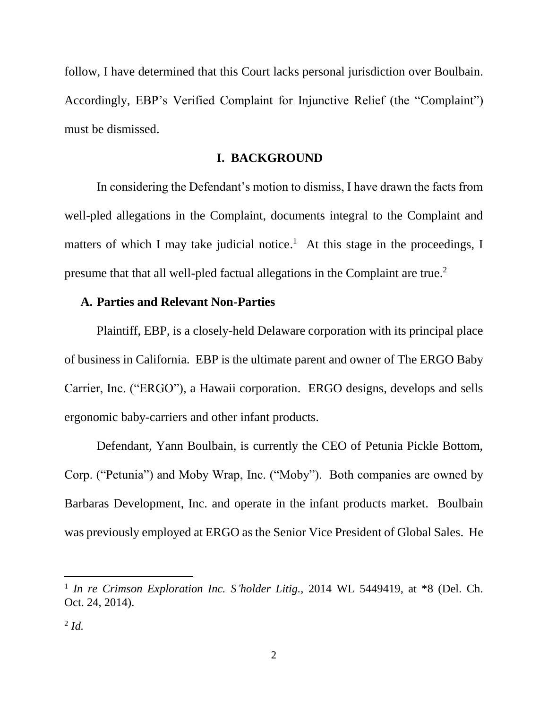follow, I have determined that this Court lacks personal jurisdiction over Boulbain. Accordingly, EBP's Verified Complaint for Injunctive Relief (the "Complaint") must be dismissed.

### **I. BACKGROUND**

In considering the Defendant's motion to dismiss, I have drawn the facts from well-pled allegations in the Complaint, documents integral to the Complaint and matters of which I may take judicial notice.<sup>1</sup> At this stage in the proceedings, I presume that that all well-pled factual allegations in the Complaint are true.<sup>2</sup>

### **A. Parties and Relevant Non-Parties**

Plaintiff, EBP, is a closely-held Delaware corporation with its principal place of business in California. EBP is the ultimate parent and owner of The ERGO Baby Carrier, Inc. ("ERGO"), a Hawaii corporation. ERGO designs, develops and sells ergonomic baby-carriers and other infant products.

Defendant, Yann Boulbain, is currently the CEO of Petunia Pickle Bottom, Corp. ("Petunia") and Moby Wrap, Inc. ("Moby"). Both companies are owned by Barbaras Development, Inc. and operate in the infant products market. Boulbain was previously employed at ERGO as the Senior Vice President of Global Sales. He

<sup>&</sup>lt;sup>1</sup> In re Crimson Exploration Inc. S'holder Litig., 2014 WL 5449419, at \*8 (Del. Ch. Oct. 24, 2014).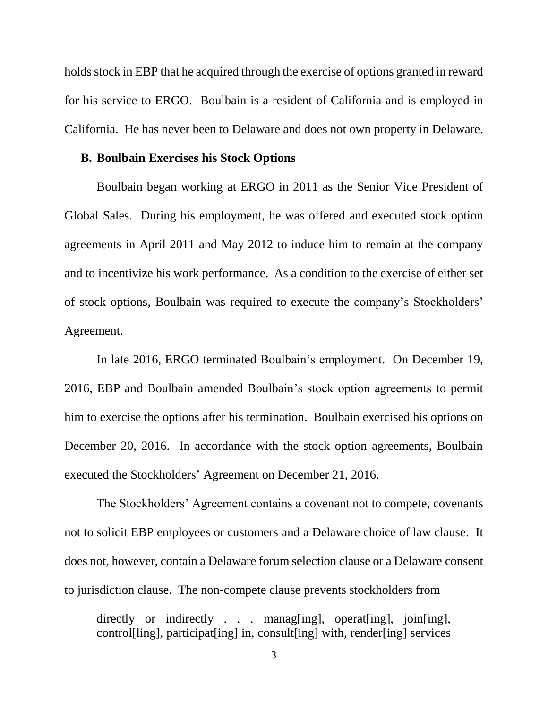holds stock in EBP that he acquired through the exercise of options granted in reward for his service to ERGO. Boulbain is a resident of California and is employed in California. He has never been to Delaware and does not own property in Delaware.

#### **B. Boulbain Exercises his Stock Options**

Boulbain began working at ERGO in 2011 as the Senior Vice President of Global Sales. During his employment, he was offered and executed stock option agreements in April 2011 and May 2012 to induce him to remain at the company and to incentivize his work performance. As a condition to the exercise of either set of stock options, Boulbain was required to execute the company's Stockholders' Agreement.

In late 2016, ERGO terminated Boulbain's employment. On December 19, 2016, EBP and Boulbain amended Boulbain's stock option agreements to permit him to exercise the options after his termination. Boulbain exercised his options on December 20, 2016. In accordance with the stock option agreements, Boulbain executed the Stockholders' Agreement on December 21, 2016.

The Stockholders' Agreement contains a covenant not to compete, covenants not to solicit EBP employees or customers and a Delaware choice of law clause. It does not, however, contain a Delaware forum selection clause or a Delaware consent to jurisdiction clause. The non-compete clause prevents stockholders from

directly or indirectly . . . managentleright operational pointing, control[ling], participat[ing] in, consult[ing] with, render[ing] services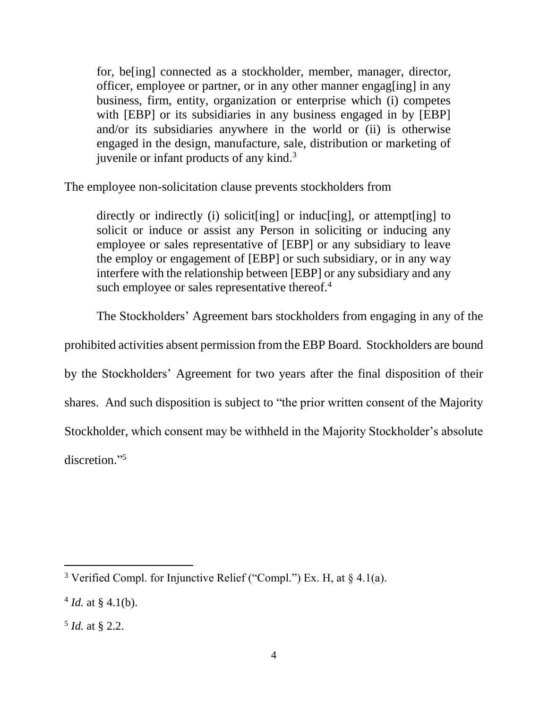for, be[ing] connected as a stockholder, member, manager, director, officer, employee or partner, or in any other manner engag[ing] in any business, firm, entity, organization or enterprise which (i) competes with [EBP] or its subsidiaries in any business engaged in by [EBP] and/or its subsidiaries anywhere in the world or (ii) is otherwise engaged in the design, manufacture, sale, distribution or marketing of juvenile or infant products of any kind.<sup>3</sup>

The employee non-solicitation clause prevents stockholders from

directly or indirectly (i) solicit[ing] or induc[ing], or attempt[ing] to solicit or induce or assist any Person in soliciting or inducing any employee or sales representative of [EBP] or any subsidiary to leave the employ or engagement of [EBP] or such subsidiary, or in any way interfere with the relationship between [EBP] or any subsidiary and any such employee or sales representative thereof.<sup>4</sup>

The Stockholders' Agreement bars stockholders from engaging in any of the

prohibited activities absent permission from the EBP Board. Stockholders are bound

by the Stockholders' Agreement for two years after the final disposition of their

shares. And such disposition is subject to "the prior written consent of the Majority

Stockholder, which consent may be withheld in the Majority Stockholder's absolute

discretion."<sup>5</sup>

<sup>&</sup>lt;sup>3</sup> Verified Compl. for Injunctive Relief ("Compl.") Ex. H, at  $\S$  4.1(a).

 $4$  *Id.* at § 4.1(b).

<sup>5</sup> *Id.* at § 2.2.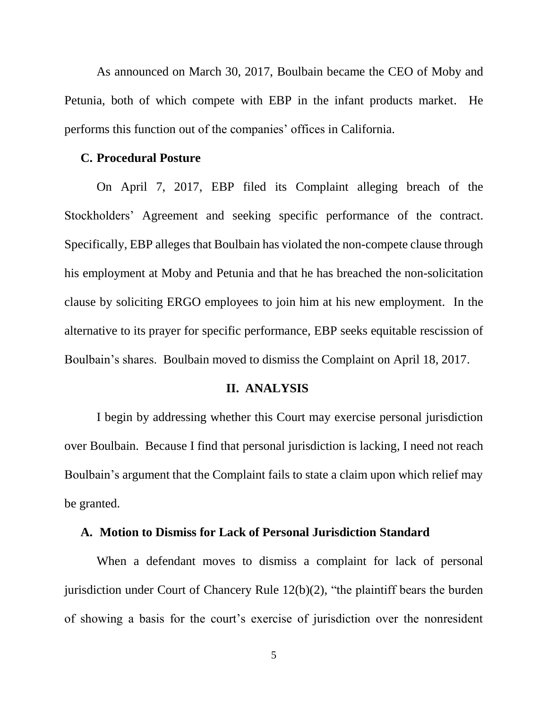As announced on March 30, 2017, Boulbain became the CEO of Moby and Petunia, both of which compete with EBP in the infant products market. He performs this function out of the companies' offices in California.

#### **C. Procedural Posture**

On April 7, 2017, EBP filed its Complaint alleging breach of the Stockholders' Agreement and seeking specific performance of the contract. Specifically, EBP alleges that Boulbain has violated the non-compete clause through his employment at Moby and Petunia and that he has breached the non-solicitation clause by soliciting ERGO employees to join him at his new employment. In the alternative to its prayer for specific performance, EBP seeks equitable rescission of Boulbain's shares. Boulbain moved to dismiss the Complaint on April 18, 2017.

#### **II. ANALYSIS**

I begin by addressing whether this Court may exercise personal jurisdiction over Boulbain. Because I find that personal jurisdiction is lacking, I need not reach Boulbain's argument that the Complaint fails to state a claim upon which relief may be granted.

#### **A. Motion to Dismiss for Lack of Personal Jurisdiction Standard**

When a defendant moves to dismiss a complaint for lack of personal jurisdiction under Court of Chancery Rule 12(b)(2), "the plaintiff bears the burden of showing a basis for the court's exercise of jurisdiction over the nonresident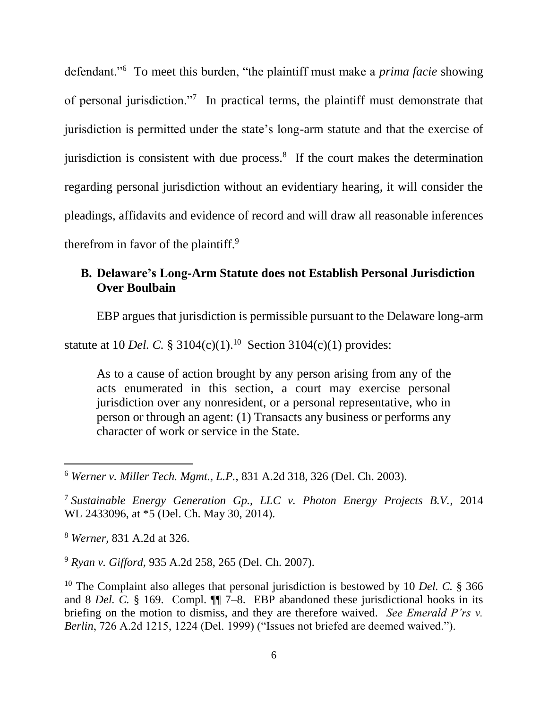defendant."<sup>6</sup> To meet this burden, "the plaintiff must make a *prima facie* showing of personal jurisdiction."<sup>7</sup> In practical terms, the plaintiff must demonstrate that jurisdiction is permitted under the state's long-arm statute and that the exercise of jurisdiction is consistent with due process. $8$  If the court makes the determination regarding personal jurisdiction without an evidentiary hearing, it will consider the pleadings, affidavits and evidence of record and will draw all reasonable inferences therefrom in favor of the plaintiff.<sup>9</sup>

# **B. Delaware's Long-Arm Statute does not Establish Personal Jurisdiction Over Boulbain**

EBP argues that jurisdiction is permissible pursuant to the Delaware long-arm

statute at 10 *Del.* C.  $\S 3104(c)(1)$ .<sup>10</sup> Section 3104(c)(1) provides:

As to a cause of action brought by any person arising from any of the acts enumerated in this section, a court may exercise personal jurisdiction over any nonresident, or a personal representative, who in person or through an agent: (1) Transacts any business or performs any character of work or service in the State.

<sup>8</sup> *Werner,* 831 A.2d at 326.

 $\overline{a}$ 

<sup>9</sup> *Ryan v. Gifford*, 935 A.2d 258, 265 (Del. Ch. 2007).

<sup>6</sup> *Werner v. Miller Tech. Mgmt., L.P.*, 831 A.2d 318, 326 (Del. Ch. 2003).

<sup>7</sup> *Sustainable Energy Generation Gp., LLC v. Photon Energy Projects B.V.*, 2014 WL 2433096, at \*5 (Del. Ch. May 30, 2014).

<sup>&</sup>lt;sup>10</sup> The Complaint also alleges that personal jurisdiction is bestowed by 10 *Del. C.* § 366 and 8 *Del. C.* § 169. Compl. ¶¶ 7–8. EBP abandoned these jurisdictional hooks in its briefing on the motion to dismiss, and they are therefore waived. *See Emerald P'rs v. Berlin*, 726 A.2d 1215, 1224 (Del. 1999) ("Issues not briefed are deemed waived.").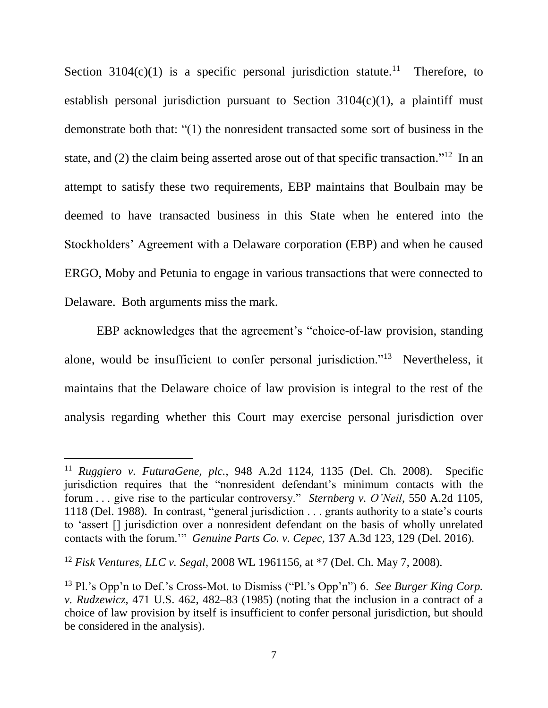Section 3104 $(c)(1)$  is a specific personal jurisdiction statute.<sup>11</sup> Therefore, to establish personal jurisdiction pursuant to Section  $3104(c)(1)$ , a plaintiff must demonstrate both that: "(1) the nonresident transacted some sort of business in the state, and  $(2)$  the claim being asserted arose out of that specific transaction."<sup>12</sup> In an attempt to satisfy these two requirements, EBP maintains that Boulbain may be deemed to have transacted business in this State when he entered into the Stockholders' Agreement with a Delaware corporation (EBP) and when he caused ERGO, Moby and Petunia to engage in various transactions that were connected to Delaware. Both arguments miss the mark.

EBP acknowledges that the agreement's "choice-of-law provision, standing alone, would be insufficient to confer personal jurisdiction."<sup>13</sup> Nevertheless, it maintains that the Delaware choice of law provision is integral to the rest of the analysis regarding whether this Court may exercise personal jurisdiction over

<sup>11</sup> *Ruggiero v. FuturaGene, plc.*, 948 A.2d 1124, 1135 (Del. Ch. 2008). Specific jurisdiction requires that the "nonresident defendant's minimum contacts with the forum . . . give rise to the particular controversy." *Sternberg v. O'Neil*, 550 A.2d 1105, 1118 (Del. 1988). In contrast, "general jurisdiction . . . grants authority to a state's courts to 'assert [] jurisdiction over a nonresident defendant on the basis of wholly unrelated contacts with the forum.'" *Genuine Parts Co. v. Cepec*, 137 A.3d 123, 129 (Del. 2016).

<sup>12</sup> *Fisk Ventures, LLC v. Segal*, 2008 WL 1961156, at \*7 (Del. Ch. May 7, 2008).

<sup>13</sup> Pl.'s Opp'n to Def.'s Cross-Mot. to Dismiss ("Pl.'s Opp'n") 6. *See Burger King Corp. v. Rudzewicz*, 471 U.S. 462, 482–83 (1985) (noting that the inclusion in a contract of a choice of law provision by itself is insufficient to confer personal jurisdiction, but should be considered in the analysis).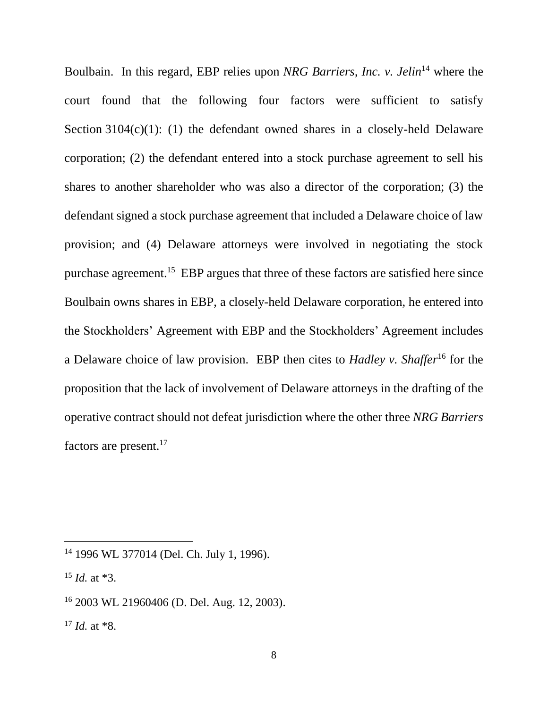Boulbain. In this regard, EBP relies upon *NRG Barriers, Inc. v. Jelin*<sup>14</sup> where the court found that the following four factors were sufficient to satisfy Section  $3104(c)(1)$ : (1) the defendant owned shares in a closely-held Delaware corporation; (2) the defendant entered into a stock purchase agreement to sell his shares to another shareholder who was also a director of the corporation; (3) the defendant signed a stock purchase agreement that included a Delaware choice of law provision; and (4) Delaware attorneys were involved in negotiating the stock purchase agreement.<sup>15</sup> EBP argues that three of these factors are satisfied here since Boulbain owns shares in EBP, a closely-held Delaware corporation, he entered into the Stockholders' Agreement with EBP and the Stockholders' Agreement includes a Delaware choice of law provision. EBP then cites to *Hadley v. Shaffer*<sup>16</sup> for the proposition that the lack of involvement of Delaware attorneys in the drafting of the operative contract should not defeat jurisdiction where the other three *NRG Barriers* factors are present.<sup>17</sup>

<sup>14</sup> 1996 WL 377014 (Del. Ch. July 1, 1996).

<sup>15</sup> *Id.* at \*3.

<sup>16</sup> 2003 WL 21960406 (D. Del. Aug. 12, 2003).

<sup>17</sup> *Id.* at \*8.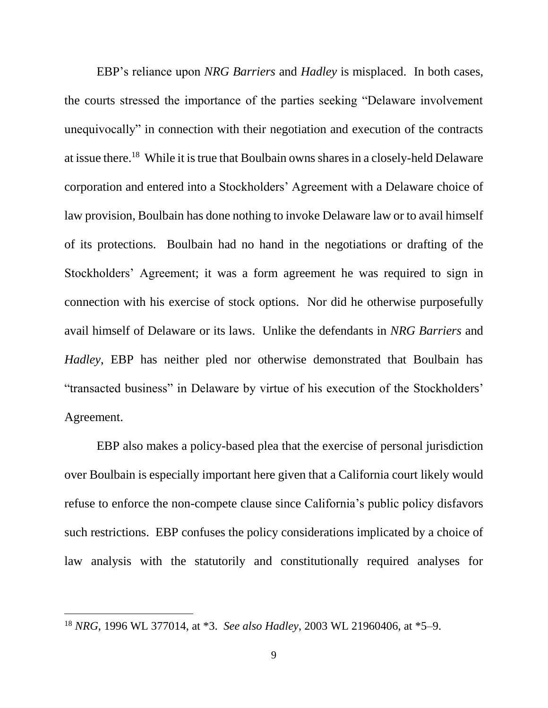EBP's reliance upon *NRG Barriers* and *Hadley* is misplaced. In both cases, the courts stressed the importance of the parties seeking "Delaware involvement unequivocally" in connection with their negotiation and execution of the contracts at issue there.<sup>18</sup> While it is true that Boulbain owns shares in a closely-held Delaware corporation and entered into a Stockholders' Agreement with a Delaware choice of law provision, Boulbain has done nothing to invoke Delaware law or to avail himself of its protections. Boulbain had no hand in the negotiations or drafting of the Stockholders' Agreement; it was a form agreement he was required to sign in connection with his exercise of stock options. Nor did he otherwise purposefully avail himself of Delaware or its laws. Unlike the defendants in *NRG Barriers* and *Hadley*, EBP has neither pled nor otherwise demonstrated that Boulbain has "transacted business" in Delaware by virtue of his execution of the Stockholders' Agreement.

EBP also makes a policy-based plea that the exercise of personal jurisdiction over Boulbain is especially important here given that a California court likely would refuse to enforce the non-compete clause since California's public policy disfavors such restrictions. EBP confuses the policy considerations implicated by a choice of law analysis with the statutorily and constitutionally required analyses for

<sup>18</sup> *NRG*, 1996 WL 377014, at \*3. *See also Hadley*, 2003 WL 21960406, at \*5–9.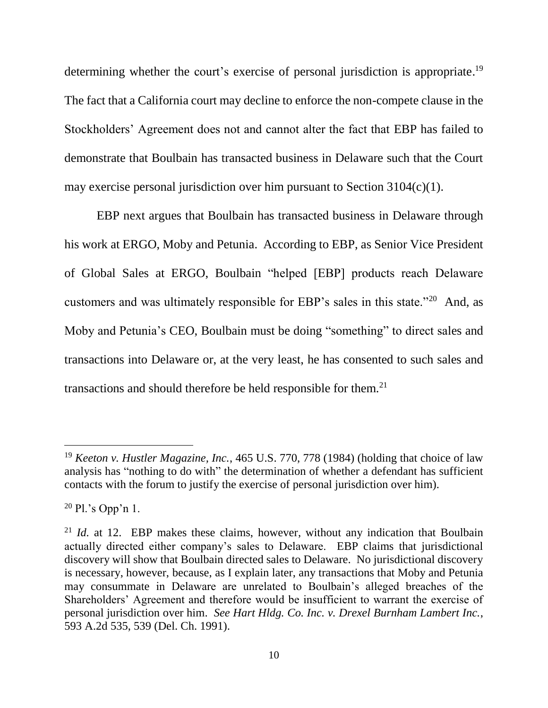determining whether the court's exercise of personal jurisdiction is appropriate.<sup>19</sup> The fact that a California court may decline to enforce the non-compete clause in the Stockholders' Agreement does not and cannot alter the fact that EBP has failed to demonstrate that Boulbain has transacted business in Delaware such that the Court may exercise personal jurisdiction over him pursuant to Section 3104(c)(1).

EBP next argues that Boulbain has transacted business in Delaware through his work at ERGO, Moby and Petunia. According to EBP, as Senior Vice President of Global Sales at ERGO, Boulbain "helped [EBP] products reach Delaware customers and was ultimately responsible for EBP's sales in this state." $^{20}$  And, as Moby and Petunia's CEO, Boulbain must be doing "something" to direct sales and transactions into Delaware or, at the very least, he has consented to such sales and transactions and should therefore be held responsible for them.<sup>21</sup>

<sup>19</sup> *Keeton v. Hustler Magazine, Inc.*, 465 U.S. 770, 778 (1984) (holding that choice of law analysis has "nothing to do with" the determination of whether a defendant has sufficient contacts with the forum to justify the exercise of personal jurisdiction over him).

 $20$  Pl.'s Opp'n 1.

<sup>&</sup>lt;sup>21</sup> *Id.* at 12. EBP makes these claims, however, without any indication that Boulbain actually directed either company's sales to Delaware. EBP claims that jurisdictional discovery will show that Boulbain directed sales to Delaware. No jurisdictional discovery is necessary, however, because, as I explain later, any transactions that Moby and Petunia may consummate in Delaware are unrelated to Boulbain's alleged breaches of the Shareholders' Agreement and therefore would be insufficient to warrant the exercise of personal jurisdiction over him. *See Hart Hldg. Co. Inc. v. Drexel Burnham Lambert Inc.*, 593 A.2d 535, 539 (Del. Ch. 1991).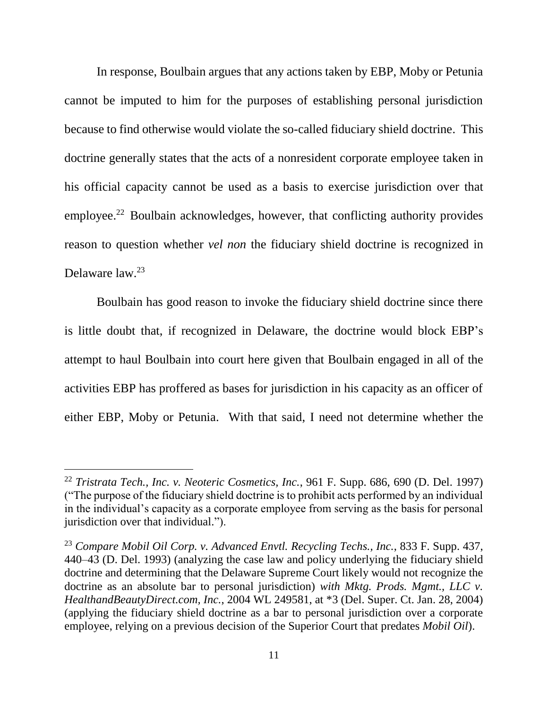In response, Boulbain argues that any actions taken by EBP, Moby or Petunia cannot be imputed to him for the purposes of establishing personal jurisdiction because to find otherwise would violate the so-called fiduciary shield doctrine. This doctrine generally states that the acts of a nonresident corporate employee taken in his official capacity cannot be used as a basis to exercise jurisdiction over that employee.<sup>22</sup> Boulbain acknowledges, however, that conflicting authority provides reason to question whether *vel non* the fiduciary shield doctrine is recognized in Delaware law.<sup>23</sup>

Boulbain has good reason to invoke the fiduciary shield doctrine since there is little doubt that, if recognized in Delaware, the doctrine would block EBP's attempt to haul Boulbain into court here given that Boulbain engaged in all of the activities EBP has proffered as bases for jurisdiction in his capacity as an officer of either EBP, Moby or Petunia. With that said, I need not determine whether the

<sup>22</sup> *Tristrata Tech., Inc. v. Neoteric Cosmetics, Inc.*, 961 F. Supp. 686, 690 (D. Del. 1997) ("The purpose of the fiduciary shield doctrine is to prohibit acts performed by an individual in the individual's capacity as a corporate employee from serving as the basis for personal jurisdiction over that individual.").

<sup>23</sup> *Compare Mobil Oil Corp. v. Advanced Envtl. Recycling Techs., Inc.*, 833 F. Supp. 437, 440–43 (D. Del. 1993) (analyzing the case law and policy underlying the fiduciary shield doctrine and determining that the Delaware Supreme Court likely would not recognize the doctrine as an absolute bar to personal jurisdiction) *with Mktg. Prods. Mgmt., LLC v. HealthandBeautyDirect.com, Inc.*, 2004 WL 249581, at \*3 (Del. Super. Ct. Jan. 28, 2004) (applying the fiduciary shield doctrine as a bar to personal jurisdiction over a corporate employee, relying on a previous decision of the Superior Court that predates *Mobil Oil*).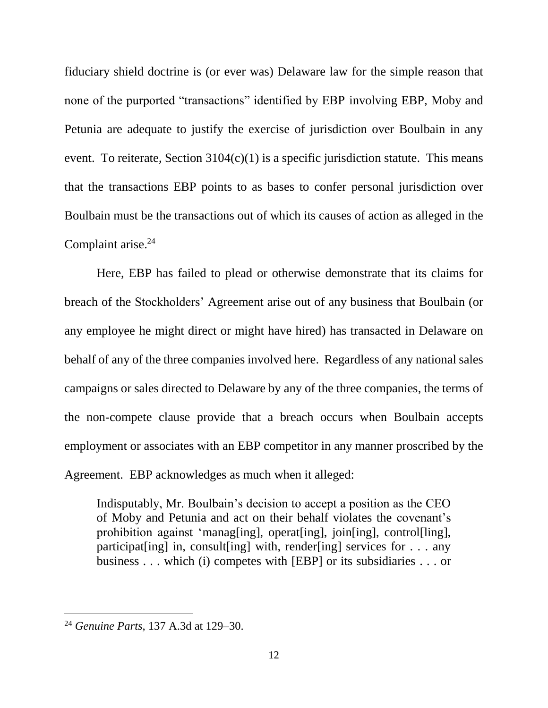fiduciary shield doctrine is (or ever was) Delaware law for the simple reason that none of the purported "transactions" identified by EBP involving EBP, Moby and Petunia are adequate to justify the exercise of jurisdiction over Boulbain in any event. To reiterate, Section  $3104(c)(1)$  is a specific jurisdiction statute. This means that the transactions EBP points to as bases to confer personal jurisdiction over Boulbain must be the transactions out of which its causes of action as alleged in the Complaint arise. 24

Here, EBP has failed to plead or otherwise demonstrate that its claims for breach of the Stockholders' Agreement arise out of any business that Boulbain (or any employee he might direct or might have hired) has transacted in Delaware on behalf of any of the three companies involved here. Regardless of any national sales campaigns or sales directed to Delaware by any of the three companies, the terms of the non-compete clause provide that a breach occurs when Boulbain accepts employment or associates with an EBP competitor in any manner proscribed by the Agreement. EBP acknowledges as much when it alleged:

Indisputably, Mr. Boulbain's decision to accept a position as the CEO of Moby and Petunia and act on their behalf violates the covenant's prohibition against 'manag[ing], operat[ing], join[ing], control[ling], participat [ing] in, consult [ing] with, render [ing] services for  $\ldots$  any business . . . which (i) competes with [EBP] or its subsidiaries . . . or

<sup>24</sup> *Genuine Parts*, 137 A.3d at 129–30.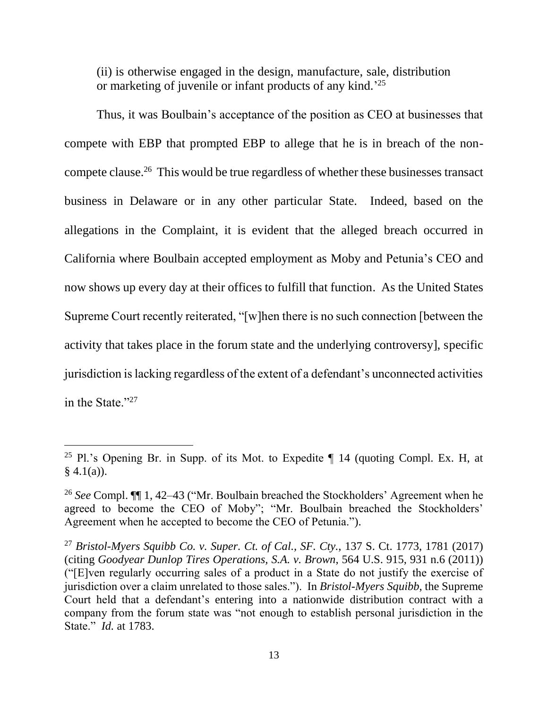(ii) is otherwise engaged in the design, manufacture, sale, distribution or marketing of juvenile or infant products of any kind.<sup>'25</sup>

Thus, it was Boulbain's acceptance of the position as CEO at businesses that compete with EBP that prompted EBP to allege that he is in breach of the noncompete clause.<sup>26</sup> This would be true regardless of whether these businesses transact business in Delaware or in any other particular State. Indeed, based on the allegations in the Complaint, it is evident that the alleged breach occurred in California where Boulbain accepted employment as Moby and Petunia's CEO and now shows up every day at their offices to fulfill that function. As the United States Supreme Court recently reiterated, "[w]hen there is no such connection [between the activity that takes place in the forum state and the underlying controversy], specific jurisdiction is lacking regardless of the extent of a defendant's unconnected activities in the State."<sup>27</sup>

<sup>&</sup>lt;sup>25</sup> Pl.'s Opening Br. in Supp. of its Mot. to Expedite  $\P$  14 (quoting Compl. Ex. H, at  $§ 4.1(a)$ ).

<sup>26</sup> *See* Compl. ¶¶ 1, 42–43 ("Mr. Boulbain breached the Stockholders' Agreement when he agreed to become the CEO of Moby"; "Mr. Boulbain breached the Stockholders' Agreement when he accepted to become the CEO of Petunia.").

<sup>27</sup> *Bristol-Myers Squibb Co. v. Super. Ct. of Cal., SF. Cty.*, 137 S. Ct. 1773, 1781 (2017) (citing *Goodyear Dunlop Tires Operations, S.A. v. Brown*, 564 U.S. 915, 931 n.6 (2011)) ("[E]ven regularly occurring sales of a product in a State do not justify the exercise of jurisdiction over a claim unrelated to those sales."). In *Bristol-Myers Squibb*, the Supreme Court held that a defendant's entering into a nationwide distribution contract with a company from the forum state was "not enough to establish personal jurisdiction in the State." *Id.* at 1783.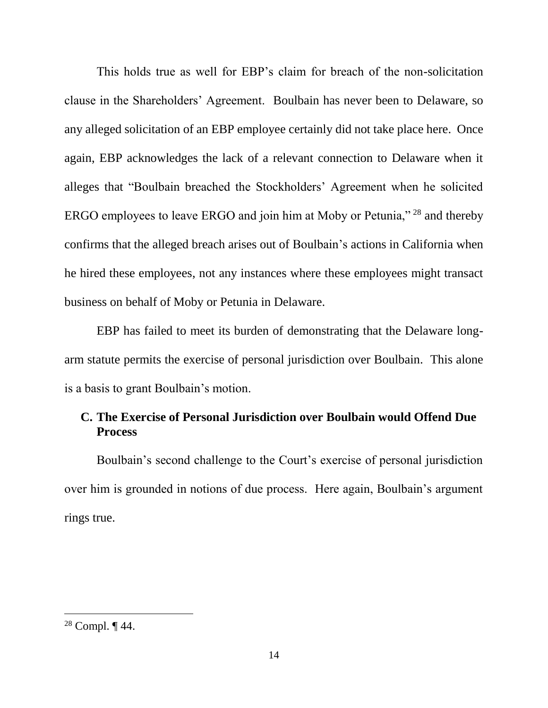This holds true as well for EBP's claim for breach of the non-solicitation clause in the Shareholders' Agreement. Boulbain has never been to Delaware, so any alleged solicitation of an EBP employee certainly did not take place here. Once again, EBP acknowledges the lack of a relevant connection to Delaware when it alleges that "Boulbain breached the Stockholders' Agreement when he solicited ERGO employees to leave ERGO and join him at Moby or Petunia," <sup>28</sup> and thereby confirms that the alleged breach arises out of Boulbain's actions in California when he hired these employees, not any instances where these employees might transact business on behalf of Moby or Petunia in Delaware.

EBP has failed to meet its burden of demonstrating that the Delaware longarm statute permits the exercise of personal jurisdiction over Boulbain. This alone is a basis to grant Boulbain's motion.

## **C. The Exercise of Personal Jurisdiction over Boulbain would Offend Due Process**

Boulbain's second challenge to the Court's exercise of personal jurisdiction over him is grounded in notions of due process. Here again, Boulbain's argument rings true.

<sup>28</sup> Compl. ¶ 44.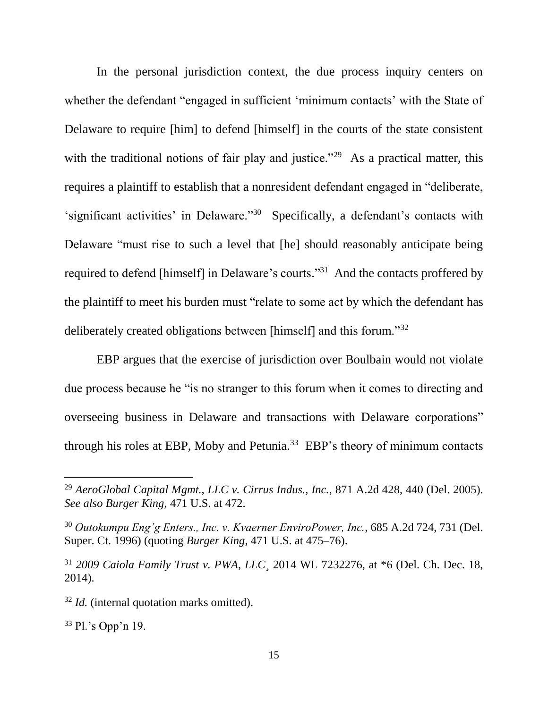In the personal jurisdiction context, the due process inquiry centers on whether the defendant "engaged in sufficient 'minimum contacts' with the State of Delaware to require [him] to defend [himself] in the courts of the state consistent with the traditional notions of fair play and justice."<sup>29</sup> As a practical matter, this requires a plaintiff to establish that a nonresident defendant engaged in "deliberate, 'significant activities' in Delaware."<sup>30</sup> Specifically, a defendant's contacts with Delaware "must rise to such a level that [he] should reasonably anticipate being required to defend [himself] in Delaware's courts."<sup>31</sup> And the contacts proffered by the plaintiff to meet his burden must "relate to some act by which the defendant has deliberately created obligations between [himself] and this forum."<sup>32</sup>

EBP argues that the exercise of jurisdiction over Boulbain would not violate due process because he "is no stranger to this forum when it comes to directing and overseeing business in Delaware and transactions with Delaware corporations" through his roles at EBP, Moby and Petunia.<sup>33</sup> EBP's theory of minimum contacts

 $33$  Pl.'s Opp'n 19.

<sup>29</sup> *AeroGlobal Capital Mgmt., LLC v. Cirrus Indus., Inc.*, 871 A.2d 428, 440 (Del. 2005). *See also Burger King*, 471 U.S. at 472.

<sup>30</sup> *Outokumpu Eng'g Enters., Inc. v. Kvaerner EnviroPower, Inc.*, 685 A.2d 724, 731 (Del. Super. Ct. 1996) (quoting *Burger King*, 471 U.S. at 475–76).

<sup>31</sup> *2009 Caiola Family Trust v. PWA, LLC*¸ 2014 WL 7232276, at \*6 (Del. Ch. Dec. 18, 2014).

<sup>32</sup> *Id.* (internal quotation marks omitted).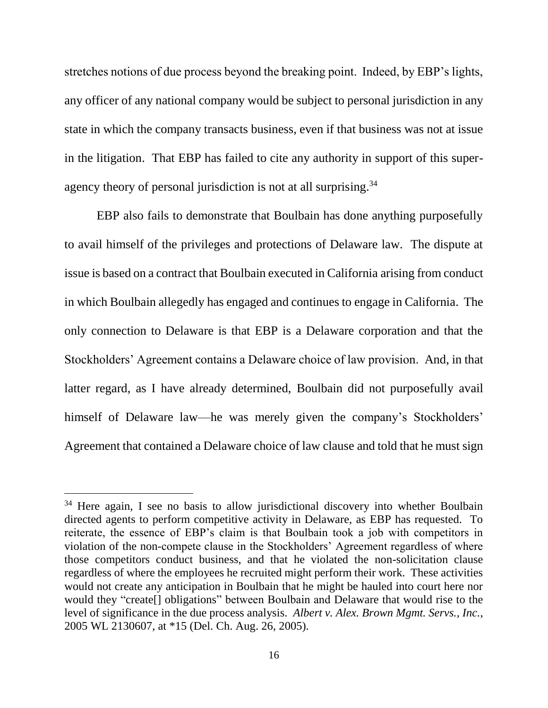stretches notions of due process beyond the breaking point. Indeed, by EBP's lights, any officer of any national company would be subject to personal jurisdiction in any state in which the company transacts business, even if that business was not at issue in the litigation. That EBP has failed to cite any authority in support of this superagency theory of personal jurisdiction is not at all surprising.<sup>34</sup>

EBP also fails to demonstrate that Boulbain has done anything purposefully to avail himself of the privileges and protections of Delaware law. The dispute at issue is based on a contract that Boulbain executed in California arising from conduct in which Boulbain allegedly has engaged and continues to engage in California. The only connection to Delaware is that EBP is a Delaware corporation and that the Stockholders' Agreement contains a Delaware choice of law provision. And, in that latter regard, as I have already determined, Boulbain did not purposefully avail himself of Delaware law—he was merely given the company's Stockholders' Agreement that contained a Delaware choice of law clause and told that he must sign

<sup>&</sup>lt;sup>34</sup> Here again, I see no basis to allow jurisdictional discovery into whether Boulbain directed agents to perform competitive activity in Delaware, as EBP has requested. To reiterate, the essence of EBP's claim is that Boulbain took a job with competitors in violation of the non-compete clause in the Stockholders' Agreement regardless of where those competitors conduct business, and that he violated the non-solicitation clause regardless of where the employees he recruited might perform their work. These activities would not create any anticipation in Boulbain that he might be hauled into court here nor would they "create[] obligations" between Boulbain and Delaware that would rise to the level of significance in the due process analysis. *Albert v. Alex. Brown Mgmt. Servs., Inc.*, 2005 WL 2130607, at \*15 (Del. Ch. Aug. 26, 2005).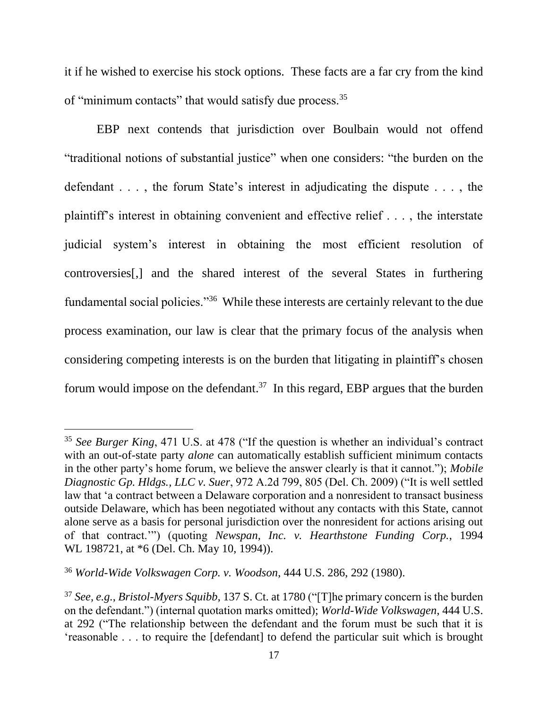it if he wished to exercise his stock options. These facts are a far cry from the kind of "minimum contacts" that would satisfy due process.<sup>35</sup>

EBP next contends that jurisdiction over Boulbain would not offend "traditional notions of substantial justice" when one considers: "the burden on the defendant . . . , the forum State's interest in adjudicating the dispute . . . , the plaintiff's interest in obtaining convenient and effective relief . . . , the interstate judicial system's interest in obtaining the most efficient resolution of controversies[,] and the shared interest of the several States in furthering fundamental social policies."<sup>36</sup> While these interests are certainly relevant to the due process examination, our law is clear that the primary focus of the analysis when considering competing interests is on the burden that litigating in plaintiff's chosen forum would impose on the defendant.<sup>37</sup> In this regard, EBP argues that the burden

<sup>&</sup>lt;sup>35</sup> See Burger King, 471 U.S. at 478 ("If the question is whether an individual's contract with an out-of-state party *alone* can automatically establish sufficient minimum contacts in the other party's home forum, we believe the answer clearly is that it cannot."); *Mobile Diagnostic Gp. Hldgs., LLC v. Suer*, 972 A.2d 799, 805 (Del. Ch. 2009) ("It is well settled law that 'a contract between a Delaware corporation and a nonresident to transact business outside Delaware, which has been negotiated without any contacts with this State, cannot alone serve as a basis for personal jurisdiction over the nonresident for actions arising out of that contract.'") (quoting *Newspan, Inc. v. Hearthstone Funding Corp.*, 1994 WL 198721, at  $*6$  (Del. Ch. May 10, 1994)).

<sup>36</sup> *World-Wide Volkswagen Corp. v. Woodson*, 444 U.S. 286, 292 (1980).

<sup>37</sup> *See, e.g.*, *Bristol-Myers Squibb*, 137 S. Ct. at 1780 ("[T]he primary concern is the burden on the defendant.") (internal quotation marks omitted); *World-Wide Volkswagen*, 444 U.S. at 292 ("The relationship between the defendant and the forum must be such that it is 'reasonable . . . to require the [defendant] to defend the particular suit which is brought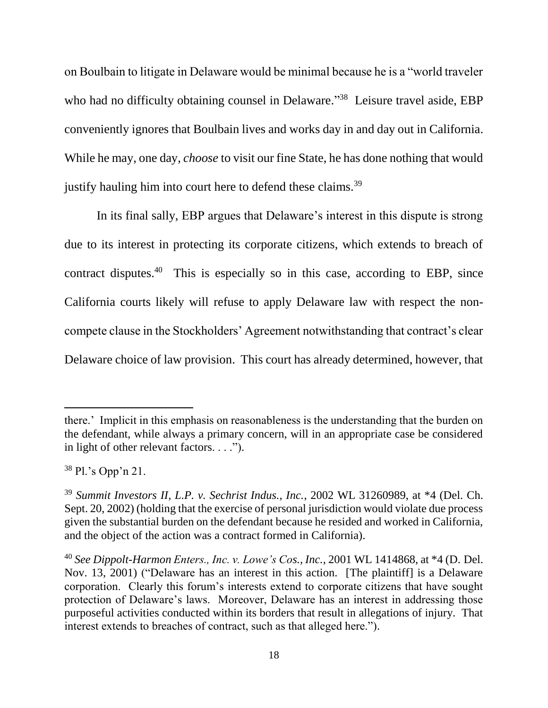on Boulbain to litigate in Delaware would be minimal because he is a "world traveler who had no difficulty obtaining counsel in Delaware."<sup>38</sup> Leisure travel aside, EBP conveniently ignores that Boulbain lives and works day in and day out in California. While he may, one day, *choose* to visit our fine State, he has done nothing that would justify hauling him into court here to defend these claims.<sup>39</sup>

In its final sally, EBP argues that Delaware's interest in this dispute is strong due to its interest in protecting its corporate citizens, which extends to breach of contract disputes.<sup>40</sup> This is especially so in this case, according to EBP, since California courts likely will refuse to apply Delaware law with respect the noncompete clause in the Stockholders' Agreement notwithstanding that contract's clear Delaware choice of law provision. This court has already determined, however, that

<sup>38</sup> Pl.'s Opp'n 21.

there.' Implicit in this emphasis on reasonableness is the understanding that the burden on the defendant, while always a primary concern, will in an appropriate case be considered in light of other relevant factors. . . .").

<sup>39</sup> *Summit Investors II, L.P. v. Sechrist Indus., Inc.*, 2002 WL 31260989, at \*4 (Del. Ch. Sept. 20, 2002) (holding that the exercise of personal jurisdiction would violate due process given the substantial burden on the defendant because he resided and worked in California, and the object of the action was a contract formed in California).

<sup>40</sup> *See Dippolt-Harmon Enters., Inc. v. Lowe's Cos., Inc.*, 2001 WL 1414868, at \*4 (D. Del. Nov. 13, 2001) ("Delaware has an interest in this action. [The plaintiff] is a Delaware corporation. Clearly this forum's interests extend to corporate citizens that have sought protection of Delaware's laws. Moreover, Delaware has an interest in addressing those purposeful activities conducted within its borders that result in allegations of injury. That interest extends to breaches of contract, such as that alleged here.").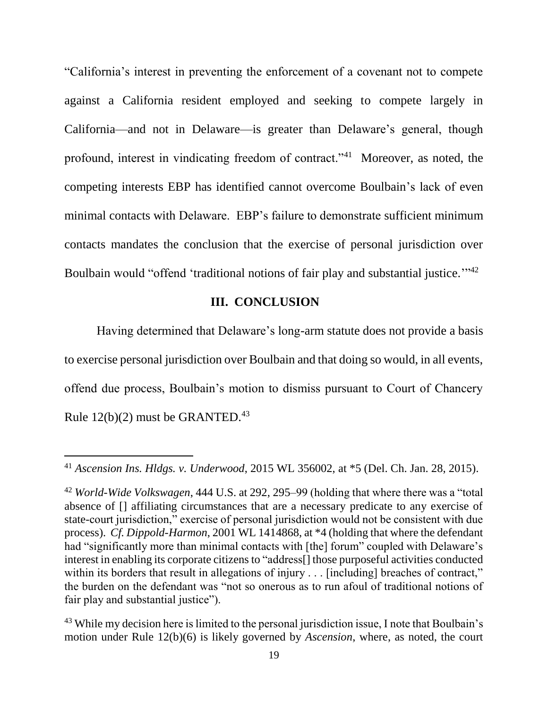"California's interest in preventing the enforcement of a covenant not to compete against a California resident employed and seeking to compete largely in California—and not in Delaware—is greater than Delaware's general, though profound, interest in vindicating freedom of contract."<sup>41</sup> Moreover, as noted, the competing interests EBP has identified cannot overcome Boulbain's lack of even minimal contacts with Delaware. EBP's failure to demonstrate sufficient minimum contacts mandates the conclusion that the exercise of personal jurisdiction over Boulbain would "offend 'traditional notions of fair play and substantial justice."<sup>42</sup>

## **III. CONCLUSION**

Having determined that Delaware's long-arm statute does not provide a basis to exercise personal jurisdiction over Boulbain and that doing so would, in all events, offend due process, Boulbain's motion to dismiss pursuant to Court of Chancery Rule  $12(b)(2)$  must be GRANTED.<sup>43</sup>

<sup>41</sup> *Ascension Ins. Hldgs. v. Underwood*, 2015 WL 356002, at \*5 (Del. Ch. Jan. 28, 2015).

<sup>42</sup> *World-Wide Volkswagen*, 444 U.S. at 292, 295–99 (holding that where there was a "total absence of [] affiliating circumstances that are a necessary predicate to any exercise of state-court jurisdiction," exercise of personal jurisdiction would not be consistent with due process). *Cf. Dippold-Harmon*, 2001 WL 1414868, at \*4 (holding that where the defendant had "significantly more than minimal contacts with [the] forum" coupled with Delaware's interest in enabling its corporate citizens to "address[] those purposeful activities conducted within its borders that result in allegations of injury . . . [including] breaches of contract," the burden on the defendant was "not so onerous as to run afoul of traditional notions of fair play and substantial justice").

<sup>&</sup>lt;sup>43</sup> While my decision here is limited to the personal jurisdiction issue, I note that Boulbain's motion under Rule 12(b)(6) is likely governed by *Ascension*, where, as noted, the court